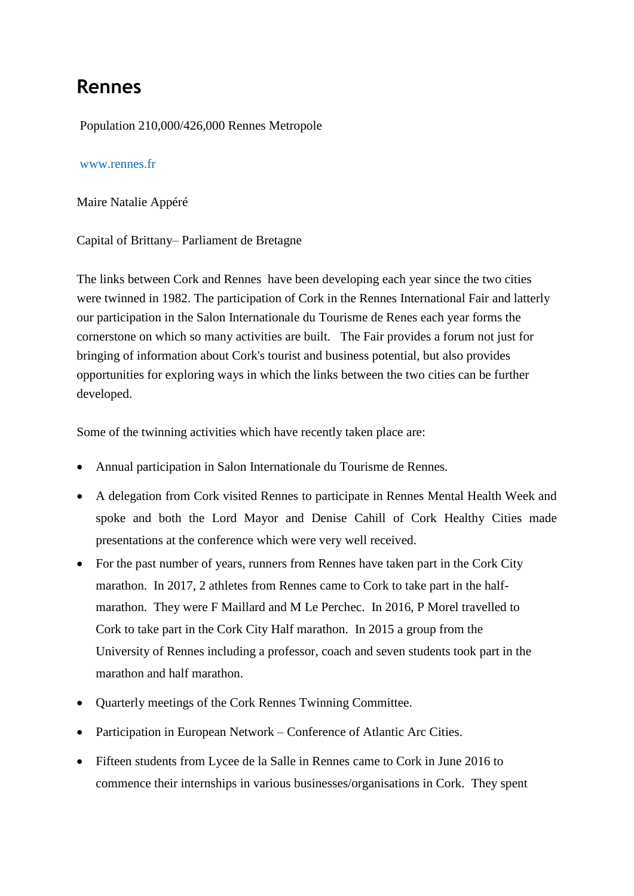## **Rennes**

Population 210,000/426,000 Rennes Metropole

## [www.rennes.fr](http://www.rennes.fr/)

Maire Natalie Appéré

Capital of Brittany– Parliament de Bretagne

The links between Cork and Rennes have been developing each year since the two cities were twinned in 1982. The participation of Cork in the Rennes International Fair and latterly our participation in the Salon Internationale du Tourisme de Renes each year forms the cornerstone on which so many activities are built. The Fair provides a forum not just for bringing of information about Cork's tourist and business potential, but also provides opportunities for exploring ways in which the links between the two cities can be further developed.

Some of the twinning activities which have recently taken place are:

- Annual participation in Salon Internationale du Tourisme de Rennes.
- A delegation from Cork visited Rennes to participate in Rennes Mental Health Week and spoke and both the Lord Mayor and Denise Cahill of Cork Healthy Cities made presentations at the conference which were very well received.
- For the past number of years, runners from Rennes have taken part in the Cork City marathon. In 2017, 2 athletes from Rennes came to Cork to take part in the halfmarathon. They were F Maillard and M Le Perchec. In 2016, P Morel travelled to Cork to take part in the Cork City Half marathon. In 2015 a group from the University of Rennes including a professor, coach and seven students took part in the marathon and half marathon.
- Quarterly meetings of the Cork Rennes Twinning Committee.
- Participation in European Network Conference of Atlantic Arc Cities.
- Fifteen students from Lycee de la Salle in Rennes came to Cork in June 2016 to commence their internships in various businesses/organisations in Cork. They spent